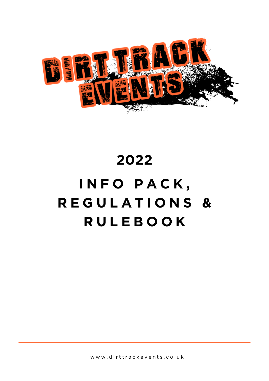

# 2022 INFO PACK, REGULATIONS & **RULEBOOK**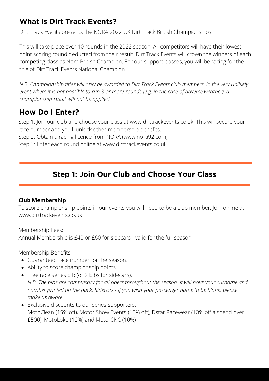## **What is Dirt Track Events?**

Dirt Track Events presents the NORA 2022 UK Dirt Track British Championships.

This will take place over 10 rounds in the 2022 season. All competitors will have their lowest point scoring round deducted from their result. Dirt Track Events will crown the winners of each competing class as Nora British Champion. For our support classes, you will be racing for the title of Dirt Track Events National Champion.

*N.B. Championship titles will only be awarded to Dirt Track Events club members. In the very unlikely event where it is not possible to run 3 or more rounds (e.g. in the case of adverse weather), a championship result will not be applied.*

## **How Do I Enter?**

Step 1: Join our club and choose your class at www.dirttrackevents.co.uk. This will secure your race number and you'll unlock other membership benefits.

Step 2: Obtain a racing licence from NORA (www.nora92.com)

Step 3: Enter each round online at www.dirttrackevents.co.uk

## **Step 1: Join Our Club and Choose Your Class**

## **Club Membership**

To score championship points in our events you will need to be a club member. Join online at www.dirttrackevents.co.uk

Membership Fees: Annual Membership is £40 or £60 for sidecars - valid for the full season.

Membership Benefits:

- Guaranteed race number for the season.
- Ability to score championship points.
- Free race series bib (or 2 bibs for sidecars). *N.B. The bibs are compulsory for all riders throughout the season. It will have your surname and number printed on the back. Sidecars - if you wish your passenger name to be blank, please make us aware.*
- Exclusive discounts to our series supporters: MotoClean (15% off), Motor Show Events (15% off), Dstar Racewear (10% off a spend over £500), MotoLoko (12%) and Moto-CNC (10%)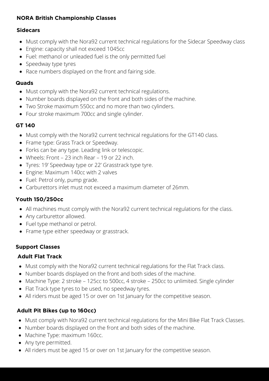## **NORA British Championship Classes**

## **Sidecars**

- Must comply with the Nora92 current technical regulations for the Sidecar Speedway class
- Engine: capacity shall not exceed 1045cc
- Fuel: methanol or unleaded fuel is the only permitted fuel
- Speedway type tyres
- Race numbers displayed on the front and fairing side.

## **Quads**

- Must comply with the Nora92 current technical regulations.
- Number boards displayed on the front and both sides of the machine.
- Two Stroke maximum 550cc and no more than two cylinders.
- Four stroke maximum 700cc and single cylinder.

## **GT 140**

- Must comply with the Nora92 current technical regulations for the GT140 class.
- Frame type: Grass Track or Speedway.
- Forks can be any type. Leading link or telescopic.
- Wheels: Front 23 inch Rear 19 or 22 inch.
- Tyres: 19' Speedway type or 22' Grasstrack type tyre.
- Engine: Maximum 140cc with 2 valves
- Fuel: Petrol only, pump grade.
- Carburettors inlet must not exceed a maximum diameter of 26mm.

## **Youth 150/250cc**

- All machines must comply with the Nora92 current technical regulations for the class.
- Any carburettor allowed.
- Fuel type methanol or petrol.
- Frame type either speedway or grasstrack.

## **Support Classes**

## **Adult Flat Track**

- Must comply with the Nora92 current technical regulations for the Flat Track class.
- Number boards displayed on the front and both sides of the machine.
- Machine Type: 2 stroke 125cc to 500cc, 4 stroke 250cc to unlimited. Single cylinder
- Flat Track type tyres to be used, no speedway tyres.
- All riders must be aged 15 or over on 1st January for the competitive season.

## **Adult Pit Bikes (up to 160cc)**

- Must comply with Nora92 current technical regulations for the Mini Bike Flat Track Classes.
- Number boards displayed on the front and both sides of the machine.
- Machine Type: maximum 160cc.
- Any tyre permitted.
- All riders must be aged 15 or over on 1st January for the competitive season.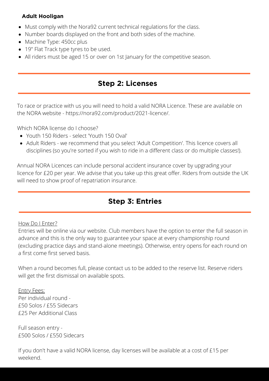## **Adult Hooligan**

- Must comply with the Nora92 current technical regulations for the class.
- Number boards displayed on the front and both sides of the machine.
- Machine Type: 450cc plus
- 19" Flat Track type tyres to be used.
- All riders must be aged 15 or over on 1st January for the competitive season.

## **Step 2: Licenses**

To race or practice with us you will need to hold a valid NORA Licence. These are available on the NORA website - https://nora92.com/product/2021-licence/.

Which NORA license do I choose?

- Youth 150 Riders select 'Youth 150 Oval'
- Adult Riders we recommend that you select 'Adult Competition'. This licence covers all disciplines (so you're sorted if you wish to ride in a different class or do multiple classes!).

Annual NORA Licences can include personal accident insurance cover by upgrading your licence for £20 per year. We advise that you take up this great offer. Riders from outside the UK will need to show proof of repatriation insurance.

## **Step 3: Entries**

## How Do I Enter?

Entries will be online via our website. Club members have the option to enter the full season in advance and this is the only way to guarantee your space at every championship round (excluding practice days and stand-alone meetings). Otherwise, entry opens for each round on a first come first served basis.

When a round becomes full, please contact us to be added to the reserve list. Reserve riders will get the first dismissal on available spots.

## Entry Fees:

Per individual round - £50 Solos / £55 Sidecars £25 Per Additional Class

Full season entry - £500 Solos / £550 Sidecars

If you don't have a valid NORA license, day licenses will be available at a cost of £15 per weekend.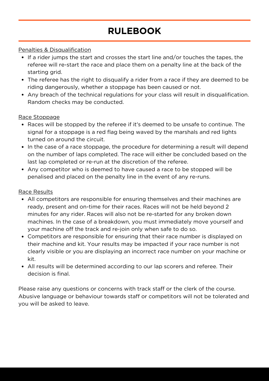# **RULEBOOK**

## Penalties & Disqualification

- If a rider jumps the start and crosses the start line and/or touches the tapes, the referee will re-start the race and place them on a penalty line at the back of the starting grid.
- The referee has the right to disqualify a rider from a race if they are deemed to be riding dangerously, whether a stoppage has been caused or not.
- Any breach of the technical regulations for your class will result in disqualification. Random checks may be conducted.

## Race Stoppage

- Races will be stopped by the referee if it's deemed to be unsafe to continue. The signal for a stoppage is a red flag being waved by the marshals and red lights turned on around the circuit.
- In the case of a race stoppage, the procedure for determining a result will depend on the number of laps completed. The race will either be concluded based on the last lap completed or re-run at the discretion of the referee.
- Any competitor who is deemed to have caused a race to be stopped will be penalised and placed on the penalty line in the event of any re-runs.

### Race Results

- All competitors are responsible for ensuring themselves and their machines are ready, present and on-time for their races. Races will not be held beyond 2 minutes for any rider. Races will also not be re-started for any broken down machines. In the case of a breakdown, you must immediately move yourself and your machine off the track and re-join only when safe to do so.
- Competitors are responsible for ensuring that their race number is displayed on their machine and kit. Your results may be impacted if your race number is not clearly visible or you are displaying an incorrect race number on your machine or kit.
- All results will be determined according to our lap scorers and referee. Their decision is final.

Please raise any questions or concerns with track staff or the clerk of the course. Abusive language or behaviour towards staff or competitors will not be tolerated and you will be asked to leave.